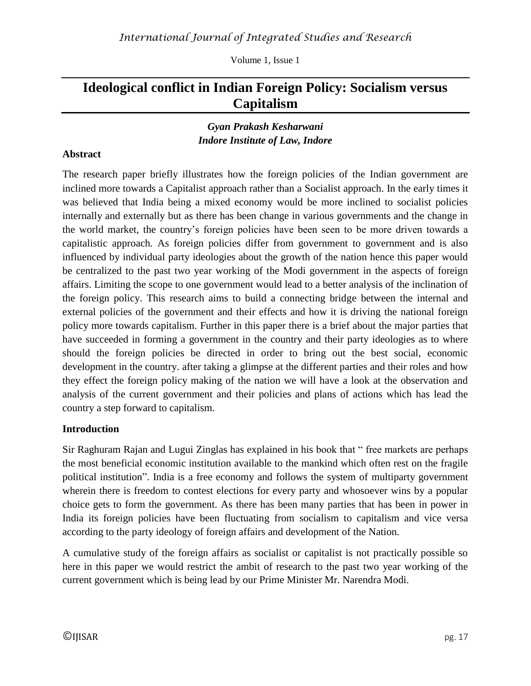Volume 1, Issue 1

# **Ideological conflict in Indian Foreign Policy: Socialism versus Capitalism**

### *Gyan Prakash Kesharwani Indore Institute of Law, Indore*

#### **Abstract**

The research paper briefly illustrates how the foreign policies of the Indian government are inclined more towards a Capitalist approach rather than a Socialist approach. In the early times it was believed that India being a mixed economy would be more inclined to socialist policies internally and externally but as there has been change in various governments and the change in the world market, the country's foreign policies have been seen to be more driven towards a capitalistic approach. As foreign policies differ from government to government and is also influenced by individual party ideologies about the growth of the nation hence this paper would be centralized to the past two year working of the Modi government in the aspects of foreign affairs. Limiting the scope to one government would lead to a better analysis of the inclination of the foreign policy. This research aims to build a connecting bridge between the internal and external policies of the government and their effects and how it is driving the national foreign policy more towards capitalism. Further in this paper there is a brief about the major parties that have succeeded in forming a government in the country and their party ideologies as to where should the foreign policies be directed in order to bring out the best social, economic development in the country. after taking a glimpse at the different parties and their roles and how they effect the foreign policy making of the nation we will have a look at the observation and analysis of the current government and their policies and plans of actions which has lead the country a step forward to capitalism.

#### **Introduction**

Sir Raghuram Rajan and Lugui Zinglas has explained in his book that " free markets are perhaps the most beneficial economic institution available to the mankind which often rest on the fragile political institution". India is a free economy and follows the system of multiparty government wherein there is freedom to contest elections for every party and whosoever wins by a popular choice gets to form the government. As there has been many parties that has been in power in India its foreign policies have been fluctuating from socialism to capitalism and vice versa according to the party ideology of foreign affairs and development of the Nation.

A cumulative study of the foreign affairs as socialist or capitalist is not practically possible so here in this paper we would restrict the ambit of research to the past two year working of the current government which is being lead by our Prime Minister Mr. Narendra Modi.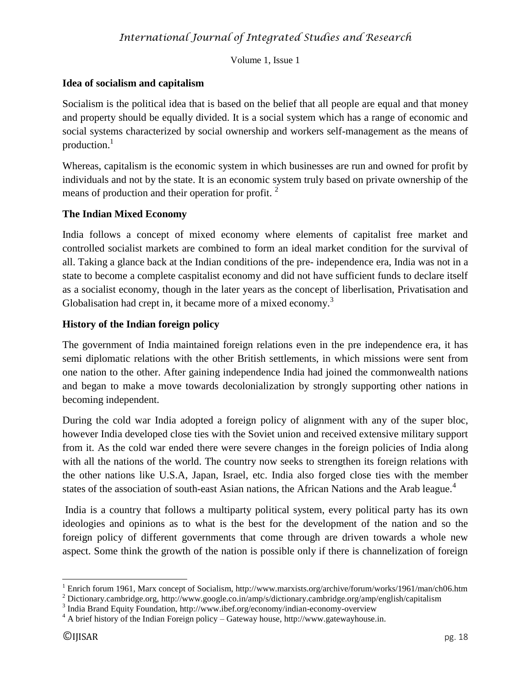Volume 1, Issue 1

#### **Idea of socialism and capitalism**

Socialism is the political idea that is based on the belief that all people are equal and that money and property should be equally divided. It is a social system which has a range of economic and social systems characterized by social ownership and workers self-management as the means of production. $<sup>1</sup>$ </sup>

Whereas, capitalism is the economic system in which businesses are run and owned for profit by individuals and not by the state. It is an economic system truly based on private ownership of the means of production and their operation for profit.<sup>2</sup>

### **The Indian Mixed Economy**

India follows a concept of mixed economy where elements of capitalist free market and controlled socialist markets are combined to form an ideal market condition for the survival of all. Taking a glance back at the Indian conditions of the pre- independence era, India was not in a state to become a complete caspitalist economy and did not have sufficient funds to declare itself as a socialist economy, though in the later years as the concept of liberlisation, Privatisation and Globalisation had crept in, it became more of a mixed economy.<sup>3</sup>

### **History of the Indian foreign policy**

The government of India maintained foreign relations even in the pre independence era, it has semi diplomatic relations with the other British settlements, in which missions were sent from one nation to the other. After gaining independence India had joined the commonwealth nations and began to make a move towards decolonialization by strongly supporting other nations in becoming independent.

During the cold war India adopted a foreign policy of alignment with any of the super bloc, however India developed close ties with the Soviet union and received extensive military support from it. As the cold war ended there were severe changes in the foreign policies of India along with all the nations of the world. The country now seeks to strengthen its foreign relations with the other nations like U.S.A, Japan, Israel, etc. India also forged close ties with the member states of the association of south-east Asian nations, the African Nations and the Arab league.<sup>4</sup>

India is a country that follows a multiparty political system, every political party has its own ideologies and opinions as to what is the best for the development of the nation and so the foreign policy of different governments that come through are driven towards a whole new aspect. Some think the growth of the nation is possible only if there is channelization of foreign

 $\overline{\phantom{a}}$ <sup>1</sup> Enrich forum 1961, Marx concept of Socialism,<http://www.marxists.org/archive/forum/works/1961/man/ch06.htm>

<sup>2</sup> Dictionary.cambridge.org,<http://www.google.co.in/amp/s/dictionary.cambridge.org/amp/english/capitalism>

<sup>&</sup>lt;sup>3</sup> India Brand Equity Foundation,<http://www.ibef.org/economy/indian-economy-overview>

 $4 \text{ A brief history of the Indian Foreign policy} - \text{Gateway house}, \text{http://www.gatewayhouse.in.}$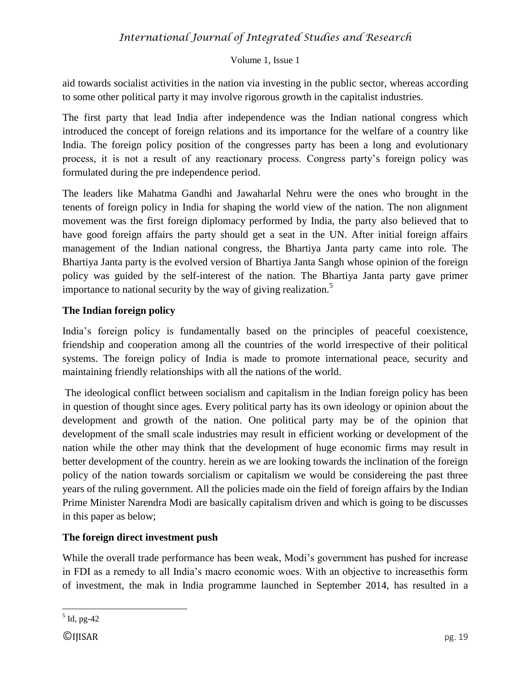# *International Journal of Integrated Studies and Research*

#### Volume 1, Issue 1

aid towards socialist activities in the nation via investing in the public sector, whereas according to some other political party it may involve rigorous growth in the capitalist industries.

The first party that lead India after independence was the Indian national congress which introduced the concept of foreign relations and its importance for the welfare of a country like India. The foreign policy position of the congresses party has been a long and evolutionary process, it is not a result of any reactionary process. Congress party's foreign policy was formulated during the pre independence period.

The leaders like Mahatma Gandhi and Jawaharlal Nehru were the ones who brought in the tenents of foreign policy in India for shaping the world view of the nation. The non alignment movement was the first foreign diplomacy performed by India, the party also believed that to have good foreign affairs the party should get a seat in the UN. After initial foreign affairs management of the Indian national congress, the Bhartiya Janta party came into role. The Bhartiya Janta party is the evolved version of Bhartiya Janta Sangh whose opinion of the foreign policy was guided by the self-interest of the nation. The Bhartiya Janta party gave primer importance to national security by the way of giving realization.<sup>5</sup>

#### **The Indian foreign policy**

India's foreign policy is fundamentally based on the principles of peaceful coexistence, friendship and cooperation among all the countries of the world irrespective of their political systems. The foreign policy of India is made to promote international peace, security and maintaining friendly relationships with all the nations of the world.

The ideological conflict between socialism and capitalism in the Indian foreign policy has been in question of thought since ages. Every political party has its own ideology or opinion about the development and growth of the nation. One political party may be of the opinion that development of the small scale industries may result in efficient working or development of the nation while the other may think that the development of huge economic firms may result in better development of the country. herein as we are looking towards the inclination of the foreign policy of the nation towards sorcialism or capitalism we would be considereing the past three years of the ruling government. All the policies made oin the field of foreign affairs by the Indian Prime Minister Narendra Modi are basically capitalism driven and which is going to be discusses in this paper as below;

#### **The foreign direct investment push**

While the overall trade performance has been weak, Modi's government has pushed for increase in FDI as a remedy to all India's macro economic woes. With an objective to increasethis form of investment, the mak in India programme launched in September 2014, has resulted in a

 $\overline{\phantom{a}}$  $<sup>5</sup>$  Id, pg-42</sup>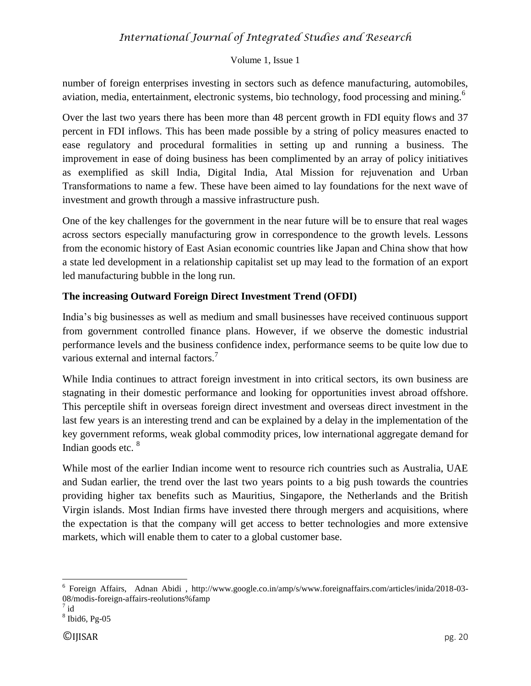## *International Journal of Integrated Studies and Research*

#### Volume 1, Issue 1

number of foreign enterprises investing in sectors such as defence manufacturing, automobiles, aviation, media, entertainment, electronic systems, bio technology, food processing and mining.<sup>6</sup>

Over the last two years there has been more than 48 percent growth in FDI equity flows and 37 percent in FDI inflows. This has been made possible by a string of policy measures enacted to ease regulatory and procedural formalities in setting up and running a business. The improvement in ease of doing business has been complimented by an array of policy initiatives as exemplified as skill India, Digital India, Atal Mission for rejuvenation and Urban Transformations to name a few. These have been aimed to lay foundations for the next wave of investment and growth through a massive infrastructure push.

One of the key challenges for the government in the near future will be to ensure that real wages across sectors especially manufacturing grow in correspondence to the growth levels. Lessons from the economic history of East Asian economic countries like Japan and China show that how a state led development in a relationship capitalist set up may lead to the formation of an export led manufacturing bubble in the long run.

#### **The increasing Outward Foreign Direct Investment Trend (OFDI)**

India's big businesses as well as medium and small businesses have received continuous support from government controlled finance plans. However, if we observe the domestic industrial performance levels and the business confidence index, performance seems to be quite low due to various external and internal factors.<sup>7</sup>

While India continues to attract foreign investment in into critical sectors, its own business are stagnating in their domestic performance and looking for opportunities invest abroad offshore. This perceptile shift in overseas foreign direct investment and overseas direct investment in the last few years is an interesting trend and can be explained by a delay in the implementation of the key government reforms, weak global commodity prices, low international aggregate demand for Indian goods etc. <sup>8</sup>

While most of the earlier Indian income went to resource rich countries such as Australia, UAE and Sudan earlier, the trend over the last two years points to a big push towards the countries providing higher tax benefits such as Mauritius, Singapore, the Netherlands and the British Virgin islands. Most Indian firms have invested there through mergers and acquisitions, where the expectation is that the company will get access to better technologies and more extensive markets, which will enable them to cater to a global customer base.

 $\overline{\phantom{a}}$ 

<sup>6</sup> Foreign Affairs, Adnan Abidi , [http://www.google.co.in/amp/s/www.foreignaffairs.com/articles/inida/2018-03-](http://www.google.co.in/amp/s/www.foreignaffairs.com/articles/inida/2018-03-08/modis-foreign-affairs-reolutions%famp) [08/modis-foreign-affairs-reolutions%famp](http://www.google.co.in/amp/s/www.foreignaffairs.com/articles/inida/2018-03-08/modis-foreign-affairs-reolutions%famp)

 $7$  id

<sup>8</sup> Ibid6, Pg-05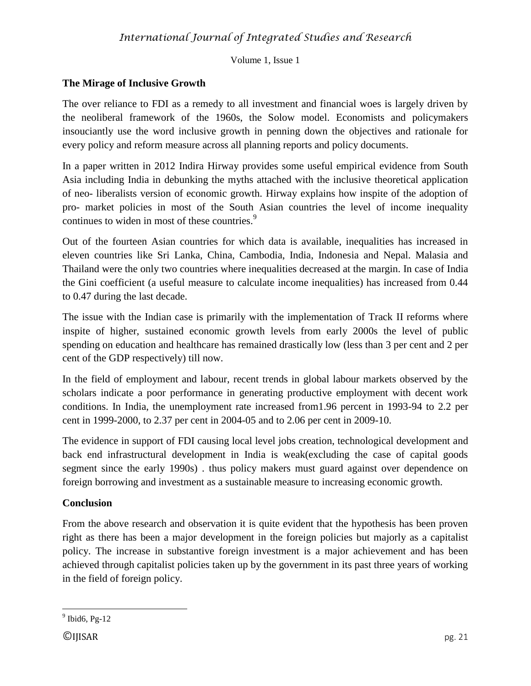Volume 1, Issue 1

### **The Mirage of Inclusive Growth**

The over reliance to FDI as a remedy to all investment and financial woes is largely driven by the neoliberal framework of the 1960s, the Solow model. Economists and policymakers insouciantly use the word inclusive growth in penning down the objectives and rationale for every policy and reform measure across all planning reports and policy documents.

In a paper written in 2012 Indira Hirway provides some useful empirical evidence from South Asia including India in debunking the myths attached with the inclusive theoretical application of neo- liberalists version of economic growth. Hirway explains how inspite of the adoption of pro- market policies in most of the South Asian countries the level of income inequality continues to widen in most of these countries.<sup>9</sup>

Out of the fourteen Asian countries for which data is available, inequalities has increased in eleven countries like Sri Lanka, China, Cambodia, India, Indonesia and Nepal. Malasia and Thailand were the only two countries where inequalities decreased at the margin. In case of India the Gini coefficient (a useful measure to calculate income inequalities) has increased from 0.44 to 0.47 during the last decade.

The issue with the Indian case is primarily with the implementation of Track II reforms where inspite of higher, sustained economic growth levels from early 2000s the level of public spending on education and healthcare has remained drastically low (less than 3 per cent and 2 per cent of the GDP respectively) till now.

In the field of employment and labour, recent trends in global labour markets observed by the scholars indicate a poor performance in generating productive employment with decent work conditions. In India, the unemployment rate increased from1.96 percent in 1993-94 to 2.2 per cent in 1999-2000, to 2.37 per cent in 2004-05 and to 2.06 per cent in 2009-10.

The evidence in support of FDI causing local level jobs creation, technological development and back end infrastructural development in India is weak(excluding the case of capital goods segment since the early 1990s) . thus policy makers must guard against over dependence on foreign borrowing and investment as a sustainable measure to increasing economic growth.

### **Conclusion**

From the above research and observation it is quite evident that the hypothesis has been proven right as there has been a major development in the foreign policies but majorly as a capitalist policy. The increase in substantive foreign investment is a major achievement and has been achieved through capitalist policies taken up by the government in its past three years of working in the field of foreign policy.

 $\overline{\phantom{a}}$ 

 $9$  Ibid6, Pg-12